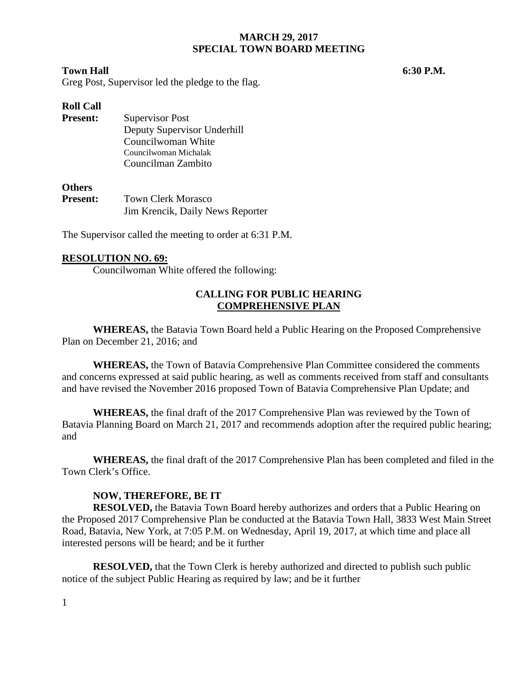## **MARCH 29, 2017 SPECIAL TOWN BOARD MEETING**

#### **Town Hall 6:30 P.M.**

Greg Post, Supervisor led the pledge to the flag.

### **Roll Call**

**Present:** Supervisor Post Deputy Supervisor Underhill Councilwoman White Councilwoman Michalak Councilman Zambito

#### **Others**

Present: Town Clerk Morasco Jim Krencik, Daily News Reporter

The Supervisor called the meeting to order at 6:31 P.M.

### **RESOLUTION NO. 69:**

Councilwoman White offered the following:

# **CALLING FOR PUBLIC HEARING COMPREHENSIVE PLAN**

**WHEREAS,** the Batavia Town Board held a Public Hearing on the Proposed Comprehensive Plan on December 21, 2016; and

**WHEREAS,** the Town of Batavia Comprehensive Plan Committee considered the comments and concerns expressed at said public hearing, as well as comments received from staff and consultants and have revised the November 2016 proposed Town of Batavia Comprehensive Plan Update; and

**WHEREAS,** the final draft of the 2017 Comprehensive Plan was reviewed by the Town of Batavia Planning Board on March 21, 2017 and recommends adoption after the required public hearing; and

**WHEREAS,** the final draft of the 2017 Comprehensive Plan has been completed and filed in the Town Clerk's Office.

#### **NOW, THEREFORE, BE IT**

**RESOLVED,** the Batavia Town Board hereby authorizes and orders that a Public Hearing on the Proposed 2017 Comprehensive Plan be conducted at the Batavia Town Hall, 3833 West Main Street Road, Batavia, New York, at 7:05 P.M. on Wednesday, April 19, 2017, at which time and place all interested persons will be heard; and be it further

**RESOLVED,** that the Town Clerk is hereby authorized and directed to publish such public notice of the subject Public Hearing as required by law; and be it further